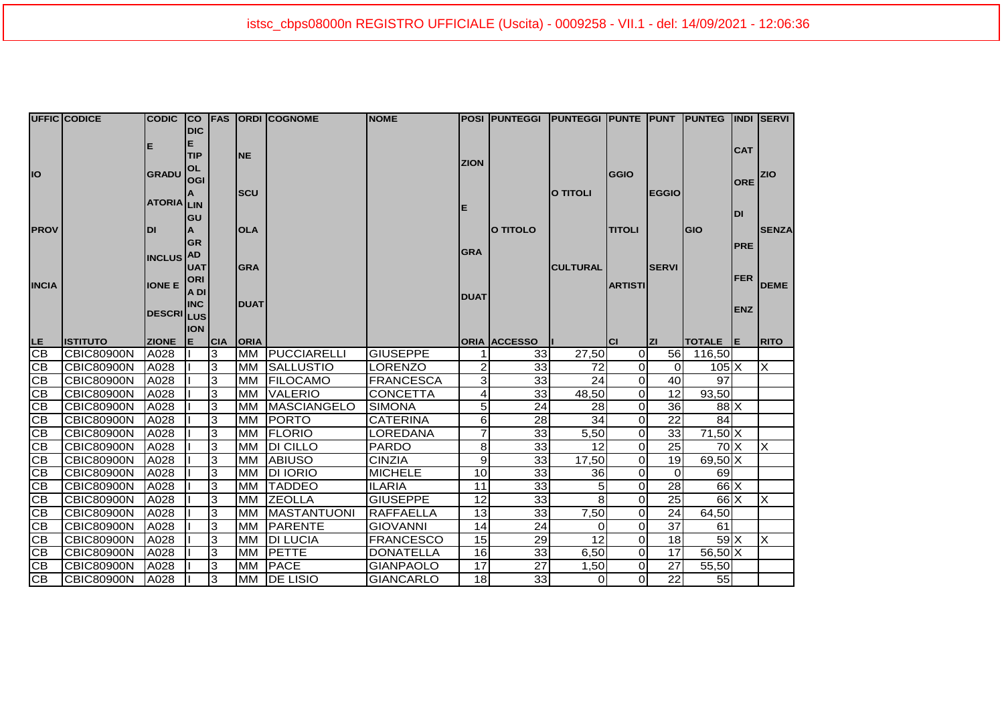|              | <b>UFFIC CODICE</b> |                   |            |            |             | CODIC CO FAS ORDI COGNOME | <b>NOME</b>      |                 | POSI  PUNTEGGI  PUNTEGGI  PUNTE  PUNT  PUNTEG  INDI  SERVI |                 |                |                       |                  |            |              |
|--------------|---------------------|-------------------|------------|------------|-------------|---------------------------|------------------|-----------------|------------------------------------------------------------|-----------------|----------------|-----------------------|------------------|------------|--------------|
|              |                     |                   | <b>DIC</b> |            |             |                           |                  |                 |                                                            |                 |                |                       |                  |            |              |
|              |                     |                   | Е          |            |             |                           |                  |                 |                                                            |                 |                |                       |                  | <b>CAT</b> |              |
|              |                     |                   | <b>TIP</b> |            | <b>NE</b>   |                           |                  | <b>ZION</b>     |                                                            |                 |                |                       |                  |            |              |
| IO           |                     | <b>GRADU</b>      | OL         |            |             |                           |                  |                 |                                                            |                 | <b>GGIO</b>    |                       |                  |            | <b>ZIO</b>   |
|              |                     |                   | <b>OGI</b> |            | <b>SCU</b>  |                           |                  |                 |                                                            | <b>O TITOLI</b> |                | <b>EGGIO</b>          |                  | <b>ORE</b> |              |
|              |                     | <b>ATORIA</b> LIN |            |            |             |                           |                  |                 |                                                            |                 |                |                       |                  |            |              |
|              |                     |                   | GU         |            |             |                           |                  | E               |                                                            |                 |                |                       |                  | <b>DI</b>  |              |
| <b>PROV</b>  |                     | DI                |            |            | <b>OLA</b>  |                           |                  |                 | O TITOLO                                                   |                 | <b>TITOLI</b>  |                       | <b>GIO</b>       |            | <b>SENZA</b> |
|              |                     |                   | <b>GR</b>  |            |             |                           |                  |                 |                                                            |                 |                |                       |                  |            |              |
|              |                     | <b>INCLUS</b>     | <b>AD</b>  |            |             |                           |                  | <b>GRA</b>      |                                                            |                 |                |                       |                  | <b>PRE</b> |              |
|              |                     |                   | <b>UAT</b> |            | <b>GRA</b>  |                           |                  |                 |                                                            | <b>CULTURAL</b> |                | <b>SERVI</b>          |                  |            |              |
|              |                     |                   | <b>ORI</b> |            |             |                           |                  |                 |                                                            |                 |                |                       |                  | <b>FER</b> |              |
| <b>INCIA</b> |                     | <b>IONE E</b>     | A DI       |            |             |                           |                  | <b>DUAT</b>     |                                                            |                 | <b>ARTISTI</b> |                       |                  |            | <b>DEME</b>  |
|              |                     |                   | <b>INC</b> |            | <b>DUAT</b> |                           |                  |                 |                                                            |                 |                |                       |                  | <b>ENZ</b> |              |
|              |                     | <b>DESCRILUS</b>  |            |            |             |                           |                  |                 |                                                            |                 |                |                       |                  |            |              |
|              |                     |                   | <b>ION</b> |            |             |                           |                  |                 |                                                            |                 |                |                       |                  |            |              |
| LE.          | <b>ISTITUTO</b>     | <b>ZIONE</b>      | lЕ.        | <b>CIA</b> | <b>ORIA</b> |                           |                  |                 | <b>ORIA ACCESSO</b>                                        |                 | lcı            | <b>ZI</b>             | TOTALE E         |            | <b>RITO</b>  |
|              |                     |                   |            |            |             |                           |                  |                 |                                                            |                 |                |                       |                  |            |              |
| CВ           | <b>CBIC80900N</b>   | A028              |            | 3          | <b>MM</b>   | PUCCIARELLI               | <b>GIUSEPPE</b>  | 1               | 33                                                         | 27,50           | $\overline{O}$ |                       | 56 116,50        |            |              |
| <b>CB</b>    | <b>CBIC80900N</b>   | A028              |            | 3          | <b>MM</b>   | <b>SALLUSTIO</b>          | LORENZO          | $\mathbf{2}$    | 33                                                         | 72              | Οl             | $\overline{0}$        | $105\text{X}$    |            | $\times$     |
| <b>CB</b>    | <b>CBIC80900N</b>   | A028              |            | 3          | <b>MM</b>   | <b>FILOCAMO</b>           | <b>FRANCESCA</b> | $\overline{3}$  | 33                                                         | 24              | $\overline{0}$ | 40                    | 97               |            |              |
| <b>CB</b>    | <b>CBIC80900N</b>   | A028              |            | 3          | <b>MM</b>   | <b>VALERIO</b>            | <b>CONCETTA</b>  | $\vert 4 \vert$ | $\overline{33}$                                            | 48,50           | $\overline{0}$ | 12                    | 93,50            |            |              |
| CВ           | <b>CBIC80900N</b>   | A028              |            | 3          | <b>MM</b>   | <b>MASCIANGELO</b>        | <b>SIMONA</b>    | 5 <sup>1</sup>  | 24                                                         | 28              | $\Omega$       | 36                    | $88$ $X$         |            |              |
| CB           | <b>CBIC80900N</b>   | A028              |            | 3          | <b>MM</b>   | <b>PORTO</b>              | <b>CATERINA</b>  | 6               | 28                                                         | 34              | $\overline{O}$ | 22                    | 84               |            |              |
| <b>CB</b>    | <b>CBIC80900N</b>   | A028              |            | 3          | <b>MM</b>   | <b>FLORIO</b>             | LOREDANA         | 7               | $\overline{33}$                                            | 5,50            | Οl             | 33                    | $71,50$ X        |            |              |
| <b>CB</b>    | <b>CBIC80900N</b>   | A028              |            | 3          | <b>MM</b>   | <b>DI CILLO</b>           | <b>PARDO</b>     | 8               | 33                                                         | 12              | $\overline{0}$ | 25                    | $70 \times$      |            | X            |
| <b>CB</b>    | <b>CBIC80900N</b>   | A028              |            | 3          | MM          | <b>ABIUSO</b>             | <b>CINZIA</b>    | $\overline{9}$  | 33                                                         | 17,50           | $\overline{O}$ | 19                    | 69,50 X          |            |              |
| CB           | <b>CBIC80900N</b>   | A028              |            | 3          | <b>MM</b>   | <b>DI IORIO</b>           | <b>MICHELE</b>   | 10              | $\overline{33}$                                            | 36              | $\Omega$       | $\Omega$              | 69               |            |              |
| CB           | <b>CBIC80900N</b>   | A028              |            | 3          | <b>MM</b>   | <b>TADDEO</b>             | <b>ILARIA</b>    | 11              | 33                                                         |                 | Οl             | 28                    | $66$ $X$         |            |              |
| CB           | <b>CBIC80900N</b>   | A028              |            | 3          | <b>MM</b>   | <b>ZEOLLA</b>             | <b>GIUSEPPE</b>  | 12              | 33                                                         | 8               | $\Omega$       | 25                    | $66$ $X$         |            | $\times$     |
| <b>CB</b>    | <b>CBIC80900N</b>   | A028              |            | 3          | <b>MM</b>   | <b>MASTANTUONI</b>        | <b>RAFFAELLA</b> | 13              | $\overline{33}$                                            | 7,50            | $\Omega$       | 24                    | 64,50            |            |              |
| CВ           | <b>CBIC80900N</b>   | A028              |            | 3          | <b>MM</b>   | PARENTE                   | <b>GIOVANNI</b>  | 14              | 24                                                         | $\Omega$        | $\Omega$       | 37                    | 61               |            |              |
| CB           | <b>CBIC80900N</b>   | A028              |            | 3          | <b>MM</b>   | <b>DI LUCIA</b>           | <b>FRANCESCO</b> | 15              | 29                                                         | 12              | $\overline{O}$ | 18                    | $59$ $X$         |            | $\times$     |
| <b>CB</b>    | <b>CBIC80900N</b>   | A028              |            | 3          | <b>MM</b>   | <b>PETTE</b>              | <b>DONATELLA</b> | 16              | 33                                                         | 6,50            | $\overline{O}$ | 17                    | $56,50$ $\times$ |            |              |
| IСB<br>Cв    | <b>CBIC80900N</b>   | A028              |            | 3          | <b>MM</b>   | <b>PACE</b>               | <b>GIANPAOLO</b> | 17              | 27                                                         | 1,50            | Οl             | 27<br>$\overline{22}$ | 55,50            |            |              |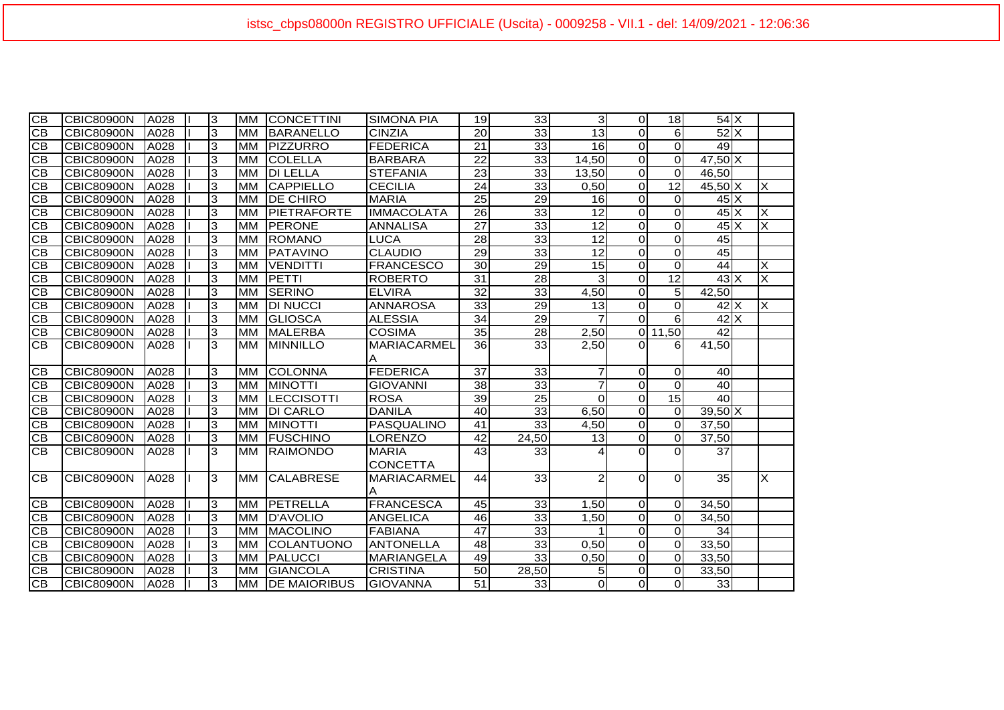| $\overline{CB}$ | <b>CBIC80900N</b> | A028 | 3 | <b>MM</b> | <b>CONCETTINI</b>   | <b>SIMONA PIA</b>  | 19              | 33              | $\vert$ 3       | $\Omega$       | 18              | $54$ $X$                              |                         |
|-----------------|-------------------|------|---|-----------|---------------------|--------------------|-----------------|-----------------|-----------------|----------------|-----------------|---------------------------------------|-------------------------|
| СB              | <b>CBIC80900N</b> | A028 | 3 | <b>MM</b> | <b>BARANELLO</b>    | <b>CINZIA</b>      | 20              | 33              | 13              | $\Omega$       | 6               | 52X                                   |                         |
| <b>CB</b>       | <b>CBIC80900N</b> | A028 | 3 | <b>MM</b> | <b>PIZZURRO</b>     | <b>FEDERICA</b>    | $\overline{21}$ | 33              | 16              | $\Omega$       | $\Omega$        | 49                                    |                         |
| CB              | <b>CBIC80900N</b> | A028 | 3 | <b>MM</b> | <b>COLELLA</b>      | <b>BARBARA</b>     | 22              | 33              | 14,50           | $\Omega$       | $\Omega$        | $47,50$ X                             |                         |
| <b>CB</b>       | <b>CBIC80900N</b> | A028 | 3 | <b>MM</b> | <b>DI LELLA</b>     | <b>STEFANIA</b>    | $\overline{23}$ | 33              | 13,50           | $\Omega$       | $\Omega$        | 46,50                                 |                         |
| <b>CB</b>       | <b>CBIC80900N</b> | A028 | 3 | <b>MM</b> | <b>CAPPIELLO</b>    | <b>CECILIA</b>     | $\overline{24}$ | 33              | 0,50            | $\Omega$       | $\overline{12}$ | $45,50$ X                             | X                       |
| <b>CB</b>       | <b>CBIC80900N</b> | A028 | 3 | <b>MM</b> | <b>DE CHIRO</b>     | <b>MARIA</b>       | 25              | 29              | 16              | $\Omega$       | $\Omega$        | $45\overline{\phantom{a}}$            |                         |
| <b>CB</b>       | <b>CBIC80900N</b> | A028 | 3 | <b>MM</b> | <b>PIETRAFORTE</b>  | <b>IMMACOLATA</b>  | 26              | 33              | 12              | $\Omega$       | $\Omega$        | $45\text{X}$                          | $\overline{\mathsf{x}}$ |
| <b>CB</b>       | <b>CBIC80900N</b> | A028 | 3 | <b>MM</b> | <b>PERONE</b>       | <b>ANNALISA</b>    | $\overline{27}$ | 33              | 12              | $\Omega$       | $\Omega$        | $45\text{X}$                          | X                       |
| <b>CB</b>       | <b>CBIC80900N</b> | A028 | 3 | <b>MM</b> | <b>ROMANO</b>       | <b>LUCA</b>        | 28              | 33              | $\overline{12}$ | $\Omega$       | $\Omega$        | 45                                    |                         |
| <b>CB</b>       | <b>CBIC80900N</b> | A028 | 3 | <b>MM</b> | <b>PATAVINO</b>     | <b>CLAUDIO</b>     | 29              | 33              | 12              | $\Omega$       | $\Omega$        | 45                                    |                         |
| <b>CB</b>       | <b>CBIC80900N</b> | A028 | 3 | <b>MM</b> | <b>VENDITTI</b>     | <b>FRANCESCO</b>   | 30              | 29              | 15              | $\Omega$       | $\Omega$        | 44                                    | X                       |
| <b>CB</b>       | <b>CBIC80900N</b> | A028 | 3 | <b>MM</b> | PETTI               | <b>ROBERTO</b>     | 31              | 28              | 3               | $\Omega$       | 12              | $\overline{4}3\overline{\phantom{1}}$ | X                       |
| <b>CB</b>       | <b>CBIC80900N</b> | A028 | 3 | <b>MM</b> | <b>SERINO</b>       | <b>ELVIRA</b>      | 32              | 33              | 4,50            | $\Omega$       | 5 <sub>l</sub>  | 42,50                                 |                         |
| <b>CB</b>       | <b>CBIC80900N</b> | A028 | 3 | <b>MM</b> | <b>DI NUCCI</b>     | <b>ANNAROSA</b>    | 33              | 29              | 13              | $\Omega$       | $\Omega$        | $\overline{4}$ 2 X                    | X                       |
| <b>CB</b>       | <b>CBIC80900N</b> | A028 | 3 | <b>MM</b> | <b>GLIOSCA</b>      | <b>ALESSIA</b>     | 34              | 29              |                 | $\Omega$       | $6 \mid$        | $42$ $X$                              |                         |
| <b>CB</b>       | <b>CBIC80900N</b> | A028 | 3 | <b>MM</b> | <b>MALERBA</b>      | <b>COSIMA</b>      | 35              | 28              | 2,50            |                | .50<br>$0$ 11   | 42                                    |                         |
| <b>CB</b>       | <b>CBIC80900N</b> | A028 | 3 | <b>MM</b> | <b>MINNILLO</b>     | <b>MARIACARMEL</b> | 36              | 33              | 2,50            | ΩI             | 61              | 41,50                                 |                         |
|                 |                   |      |   |           |                     | Α                  |                 |                 |                 |                |                 |                                       |                         |
| IСB             | <b>CBIC80900N</b> | A028 | 3 | <b>MM</b> | <b>COLONNA</b>      | <b>FEDERICA</b>    | 37              | 33              |                 | $\mathbf 0$    | $\Omega$        | 40                                    |                         |
| CВ              | <b>CBIC80900N</b> | A028 | 3 | <b>MM</b> | <b>MINOTTI</b>      | <b>GIOVANNI</b>    | $\overline{38}$ | 33              |                 | $\Omega$       | $\Omega$        | 40                                    |                         |
| CB              | <b>CBIC80900N</b> | A028 | 3 | <b>MM</b> | <b>LECCISOTTI</b>   | <b>ROSA</b>        | 39              | 25              | $\Omega$        | $\Omega$       | 15              | 40                                    |                         |
| CB              | <b>CBIC80900N</b> | A028 | 3 | <b>MM</b> | <b>DI CARLO</b>     | <b>DANILA</b>      | 40              | 33              | 6,50            | $\Omega$       | $\Omega$        | $39,50$ X                             |                         |
| CB              | <b>CBIC80900N</b> | A028 | 3 | <b>MM</b> | <b>MINOTTI</b>      | PASQUALINO         | $\overline{41}$ | 33              | 4,50            | $\Omega$       | $\Omega$        | 37,50                                 |                         |
| CB              | <b>CBIC80900N</b> | A028 | 3 | <b>MM</b> | <b>FUSCHINO</b>     | <b>LORENZO</b>     | 42              | 24,50           | 13              | $\Omega$       | $\Omega$        | $\overline{37,50}$                    |                         |
| <b>CB</b>       | <b>CBIC80900N</b> | A028 | 3 | <b>MM</b> | <b>RAIMONDO</b>     | <b>MARIA</b>       | $\overline{43}$ | 33 <sub>l</sub> |                 | $\Omega$       | $\Omega$        | 37                                    |                         |
|                 |                   |      |   |           |                     | <b>CONCETTA</b>    |                 |                 |                 |                |                 |                                       |                         |
| IСB             | <b>CBIC80900N</b> | A028 | 3 | <b>MM</b> | <b>CALABRESE</b>    | <b>MARIACARMEL</b> | 44              | 33              | 2               | $\Omega$       | $\Omega$        | 35                                    | ΙX                      |
|                 |                   |      |   |           |                     | A                  |                 |                 |                 |                |                 |                                       |                         |
| IСB             | <b>CBIC80900N</b> | A028 | 3 | <b>MM</b> | <b>PETRELLA</b>     | <b>FRANCESCA</b>   | 45              | 33              | 1,50            | $\Omega$       | $\Omega$        | 34,50                                 |                         |
| <b>CB</b>       | <b>CBIC80900N</b> | A028 | 3 | <b>MM</b> | <b>D'AVOLIO</b>     | <b>ANGELICA</b>    | 46              | 33              | 1,50            | $\Omega$       | $\Omega$        | 34,50                                 |                         |
| <b>CB</b>       | <b>CBIC80900N</b> | A028 | 3 | <b>MM</b> | <b>MACOLINO</b>     | <b>FABIANA</b>     | $\overline{47}$ | 33              |                 | $\Omega$       | $\Omega$        | 34                                    |                         |
| CB              | <b>CBIC80900N</b> | A028 | 3 | <b>MM</b> | COLANTUONO          | <b>ANTONELLA</b>   | 48              | 33              | 0,50            | $\overline{0}$ | $\Omega$        | 33,50                                 |                         |
| CB              | <b>CBIC80900N</b> | A028 | 3 | <b>MM</b> | <b>PALUCCI</b>      | <b>MARIANGELA</b>  | 49              | 33              | 0,50            | $\Omega$       | $\Omega$        | 33,50                                 |                         |
| <b>CB</b>       | <b>CBIC80900N</b> | A028 | 3 | <b>MM</b> | <b>GIANCOLA</b>     | <b>CRISTINA</b>    | 50              | 28,50           | 5               | $\Omega$       | $\Omega$        | 33,50                                 |                         |
| <b>CB</b>       | <b>CBIC80900N</b> | A028 | 3 | <b>MM</b> | <b>DE MAIORIBUS</b> | <b>GIOVANNA</b>    | 51              | 33              | $\overline{0}$  | $\Omega$       | $\Omega$        | 33                                    |                         |